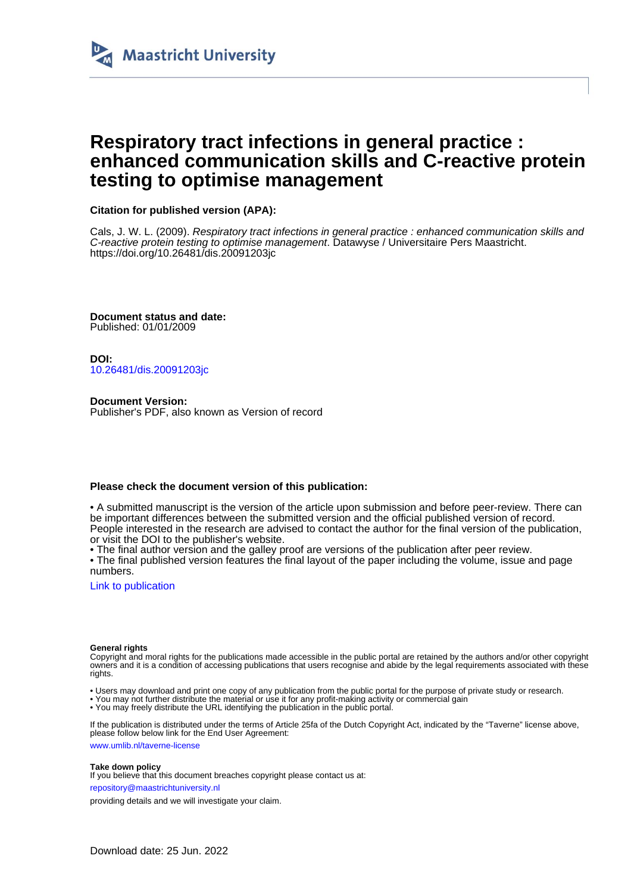

# **Respiratory tract infections in general practice : enhanced communication skills and C-reactive protein testing to optimise management**

### **Citation for published version (APA):**

Cals, J. W. L. (2009). Respiratory tract infections in general practice : enhanced communication skills and C-reactive protein testing to optimise management. Datawyse / Universitaire Pers Maastricht. <https://doi.org/10.26481/dis.20091203jc>

**Document status and date:** Published: 01/01/2009

**DOI:** [10.26481/dis.20091203jc](https://doi.org/10.26481/dis.20091203jc)

**Document Version:** Publisher's PDF, also known as Version of record

### **Please check the document version of this publication:**

• A submitted manuscript is the version of the article upon submission and before peer-review. There can be important differences between the submitted version and the official published version of record. People interested in the research are advised to contact the author for the final version of the publication, or visit the DOI to the publisher's website.

• The final author version and the galley proof are versions of the publication after peer review.

• The final published version features the final layout of the paper including the volume, issue and page numbers.

[Link to publication](https://cris.maastrichtuniversity.nl/en/publications/736c464c-9240-47bb-a247-b89570c0921d)

#### **General rights**

Copyright and moral rights for the publications made accessible in the public portal are retained by the authors and/or other copyright owners and it is a condition of accessing publications that users recognise and abide by the legal requirements associated with these rights.

- Users may download and print one copy of any publication from the public portal for the purpose of private study or research.
- You may not further distribute the material or use it for any profit-making activity or commercial gain
- You may freely distribute the URL identifying the publication in the public portal.

If the publication is distributed under the terms of Article 25fa of the Dutch Copyright Act, indicated by the "Taverne" license above, please follow below link for the End User Agreement:

www.umlib.nl/taverne-license

#### **Take down policy**

If you believe that this document breaches copyright please contact us at:

repository@maastrichtuniversity.nl

providing details and we will investigate your claim.